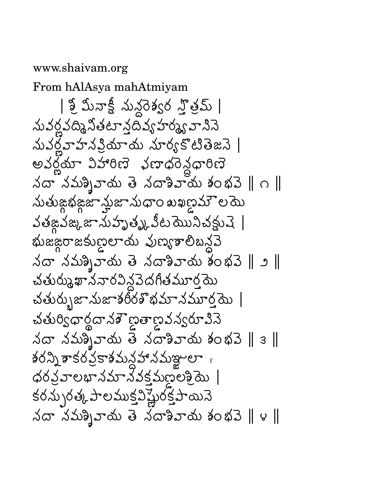## www.shaivam.org

From hAlAsya mahAtmiyam